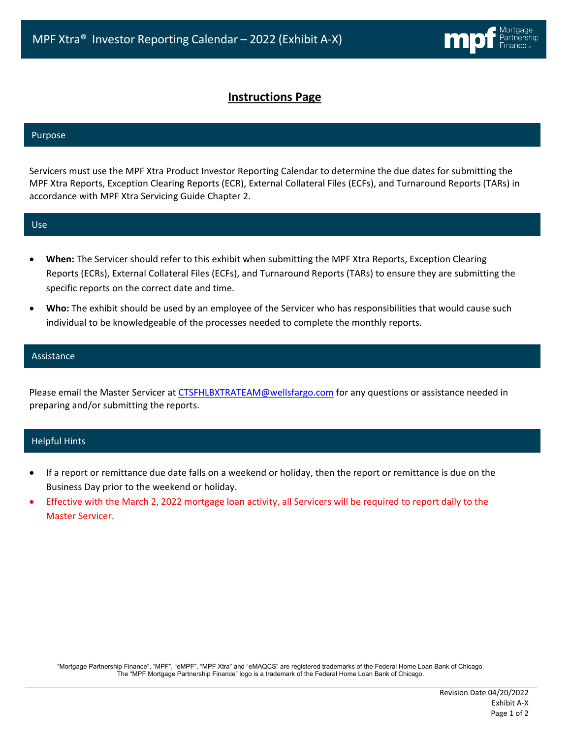# **Instructions Page**

### Purpose

Servicers must use the MPF Xtra Product Investor Reporting Calendar to determine the due dates for submitting the MPF Xtra Reports, Exception Clearing Reports (ECR), External Collateral Files (ECFs), and Turnaround Reports (TARs) in accordance with MPF Xtra Servicing Guide Chapter 2.

#### Use

- **When:** The Servicer should refer to this exhibit when submitting the MPF Xtra Reports, Exception Clearing Reports (ECRs), External Collateral Files (ECFs), and Turnaround Reports (TARs) to ensure they are submitting the specific reports on the correct date and time.
- **Who:** The exhibit should be used by an employee of the Servicer who has responsibilities that would cause such individual to be knowledgeable of the processes needed to complete the monthly reports.

## Assistance

Please email the Master Servicer at [CTSFHLBXTRATEAM@wellsfargo.com](mailto:CTSFHLBXTRATEAM@wellsfargo.com) for any questions or assistance needed in preparing and/or submitting the reports.

## Helpful Hints

- If a report or remittance due date falls on a weekend or holiday, then the report or remittance is due on the Business Day prior to the weekend or holiday.
- Effective with the March 2, 2022 mortgage loan activity, all Servicers will be required to report daily to the Master Servicer.

"Mortgage Partnership Finance", "MPF", "eMPF", "MPF Xtra" and "eMAQCS" are registered trademarks of the Federal Home Loan Bank of Chicago. The "MPF Mortgage Partnership Finance" logo is a trademark of the Federal Home Loan Bank of Chicago.